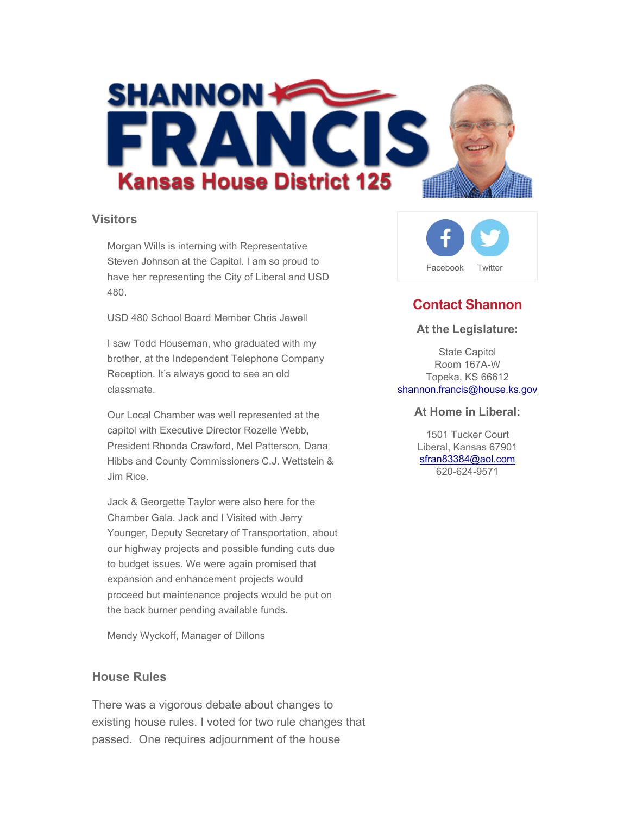

#### **Visitors**

Morgan Wills is interning with Representative Steven Johnson at the Capitol. I am so proud to have her representing the City of Liberal and USD 480.

USD 480 School Board Member Chris Jewell

I saw Todd Houseman, who graduated with my brother, at the Independent Telephone Company Reception. It's always good to see an old classmate.

Our Local Chamber was well represented at the capitol with Executive Director Rozelle Webb, President Rhonda Crawford, Mel Patterson, Dana Hibbs and County Commissioners C.J. Wettstein & Jim Rice.

Jack & Georgette Taylor were also here for the Chamber Gala. Jack and I Visited with Jerry Younger, Deputy Secretary of Transportation, about our highway projects and possible funding cuts due to budget issues. We were again promised that expansion and enhancement projects would proceed but maintenance projects would be put on the back burner pending available funds.

Mendy Wyckoff, Manager of Dillons

## **House Rules**

There was a vigorous debate about changes to existing house rules. I voted for two rule changes that passed. One requires adjournment of the house



# **Contact Shannon**

#### **At the Legislature:**

State Capitol Room 167A-W Topeka, KS 66612 shannon.francis@house.ks.gov

#### **At Home in Liberal:**

1501 Tucker Court Liberal, Kansas 67901 sfran83384@aol.com 620-624-9571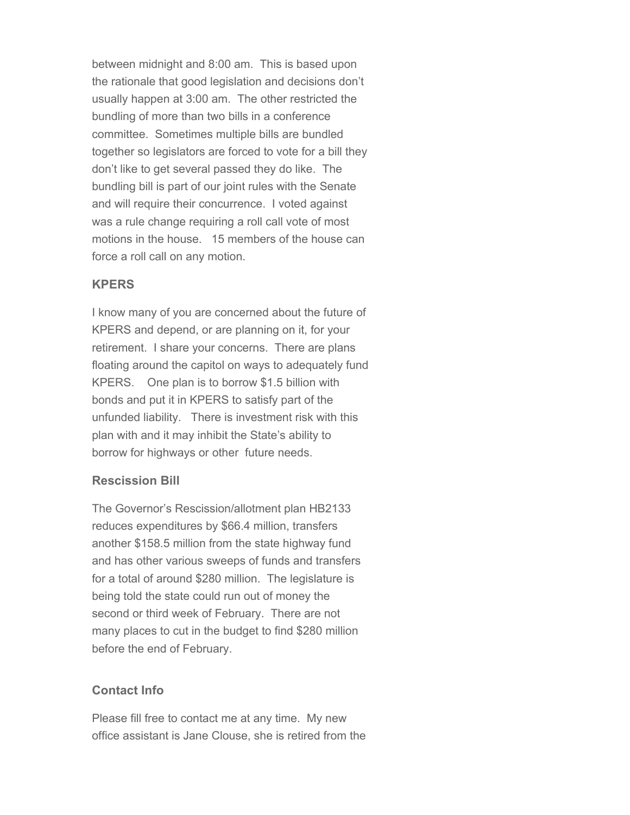between midnight and 8:00 am. This is based upon the rationale that good legislation and decisions don't usually happen at 3:00 am. The other restricted the bundling of more than two bills in a conference committee. Sometimes multiple bills are bundled together so legislators are forced to vote for a bill they don't like to get several passed they do like. The bundling bill is part of our joint rules with the Senate and will require their concurrence. I voted against was a rule change requiring a roll call vote of most motions in the house. 15 members of the house can force a roll call on any motion.

# **KPERS**

I know many of you are concerned about the future of KPERS and depend, or are planning on it, for your retirement. I share your concerns. There are plans floating around the capitol on ways to adequately fund KPERS. One plan is to borrow \$1.5 billion with bonds and put it in KPERS to satisfy part of the unfunded liability. There is investment risk with this plan with and it may inhibit the State's ability to borrow for highways or other future needs.

### **Rescission Bill**

The Governor's Rescission/allotment plan HB2133 reduces expenditures by \$66.4 million, transfers another \$158.5 million from the state highway fund and has other various sweeps of funds and transfers for a total of around \$280 million. The legislature is being told the state could run out of money the second or third week of February. There are not many places to cut in the budget to find \$280 million before the end of February.

## **Contact Info**

Please fill free to contact me at any time. My new office assistant is Jane Clouse, she is retired from the